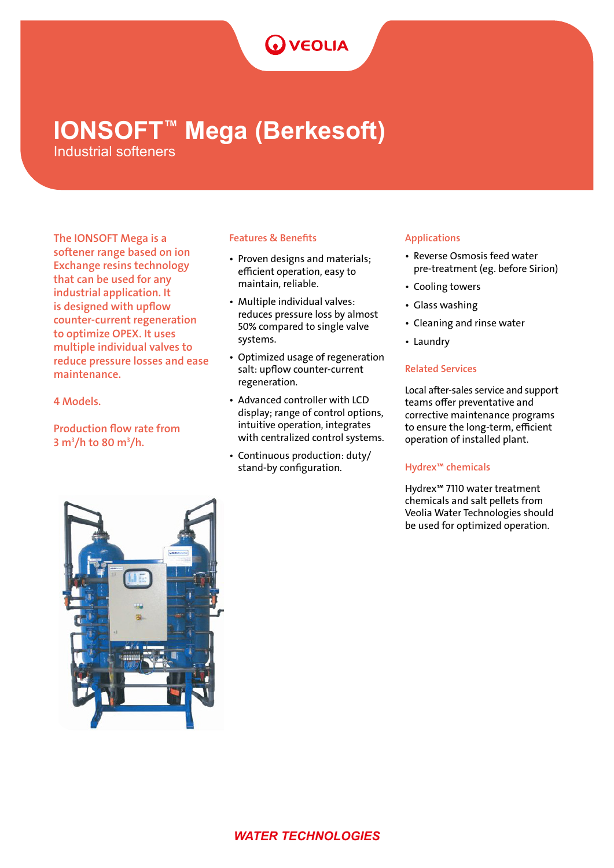# **O** VEOLIA

# **IONSOFT™ Mega (Berkesoft)**

Industrial softeners

The IONSOFT Mega is a softener range based on ion Exchange resins technology that can be used for any industrial application. It is designed with upflow counter-current regeneration to optimize OPEX. It uses multiple individual valves to reduce pressure losses and ease maintenance.

4 Models.

Production flow rate from 3 m<sup>3</sup>/h to 80 m<sup>3</sup>/h.

# Features & Benefits

- Proven designs and materials; efficient operation, easy to maintain, reliable.
- Multiple individual valves: reduces pressure loss by almost 50% compared to single valve systems.
- Optimized usage of regeneration salt: upflow counter-current regeneration.
- Advanced controller with LCD display; range of control options, intuitive operation, integrates with centralized control systems.
- Continuous production: duty/ stand-by configuration.

# Applications

- Reverse Osmosis feed water pre-treatment (eg. before Sirion)
- Cooling towers
- Glass washing
- Cleaning and rinse water
- Laundry

# Related Services

Local after-sales service and support teams offer preventative and corrective maintenance programs to ensure the long-term, efficient operation of installed plant.

# Hydrex™ chemicals

Hydrex™ 7110 water treatment chemicals and salt pellets from Veolia Water Technologies should be used for optimized operation.